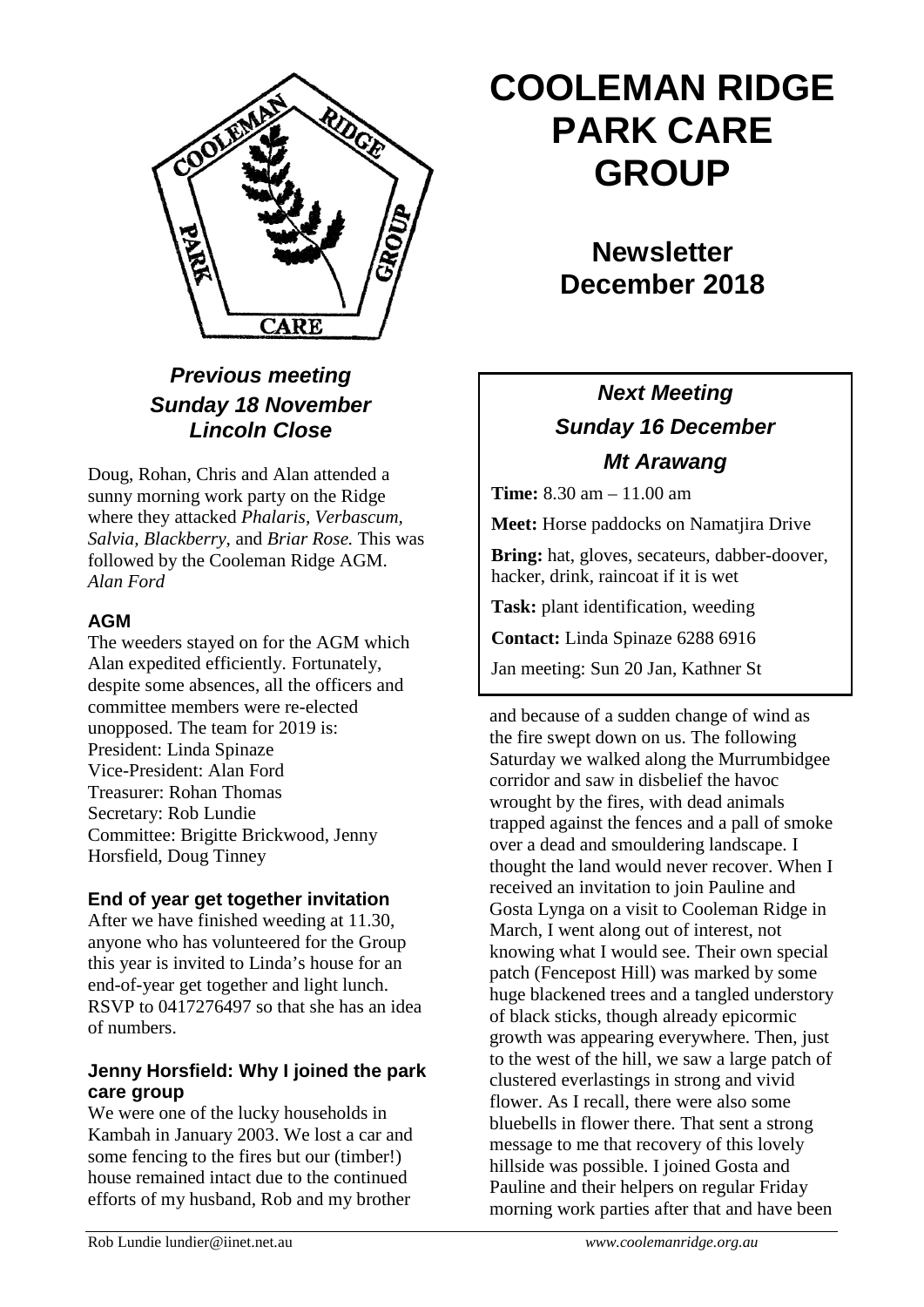

### *Previous meeting Sunday 18 November Lincoln Close*

Doug, Rohan, Chris and Alan attended a sunny morning work party on the Ridge where they attacked *Phalaris, Verbascum, Salvia, Blackberry,* and *Briar Rose.* This was followed by the Cooleman Ridge AGM. *Alan Ford*

### **AGM**

The weeders stayed on for the AGM which Alan expedited efficiently. Fortunately, despite some absences, all the officers and committee members were re-elected unopposed. The team for 2019 is: President: Linda Spinaze Vice-President: Alan Ford Treasurer: Rohan Thomas Secretary: Rob Lundie Committee: Brigitte Brickwood, Jenny Horsfield, Doug Tinney

### **End of year get together invitation**

After we have finished weeding at 11.30, anyone who has volunteered for the Group this year is invited to Linda's house for an end-of-year get together and light lunch. RSVP to 0417276497 so that she has an idea of numbers.

### **Jenny Horsfield: Why I joined the park care group**

We were one of the lucky households in Kambah in January 2003. We lost a car and some fencing to the fires but our (timber!) house remained intact due to the continued efforts of my husband, Rob and my brother

# **COOLEMAN RIDGE PARK CARE GROUP**

## **Newsletter December 2018**

### *Next Meeting Sunday 16 December Mt Arawang*

**Time:** 8.30 am – 11.00 am

**Meet:** Horse paddocks on Namatjira Drive

**Bring:** hat, gloves, secateurs, dabber-doover, hacker, drink, raincoat if it is wet

**Task:** plant identification, weeding

**Contact:** Linda Spinaze 6288 6916

Jan meeting: Sun 20 Jan, Kathner St

and because of a sudden change of wind as the fire swept down on us. The following Saturday we walked along the Murrumbidgee corridor and saw in disbelief the havoc wrought by the fires, with dead animals trapped against the fences and a pall of smoke over a dead and smouldering landscape. I thought the land would never recover. When I received an invitation to join Pauline and Gosta Lynga on a visit to Cooleman Ridge in March, I went along out of interest, not knowing what I would see. Their own special patch (Fencepost Hill) was marked by some huge blackened trees and a tangled understory of black sticks, though already epicormic growth was appearing everywhere. Then, just to the west of the hill, we saw a large patch of clustered everlastings in strong and vivid flower. As I recall, there were also some bluebells in flower there. That sent a strong message to me that recovery of this lovely hillside was possible. I joined Gosta and Pauline and their helpers on regular Friday morning work parties after that and have been